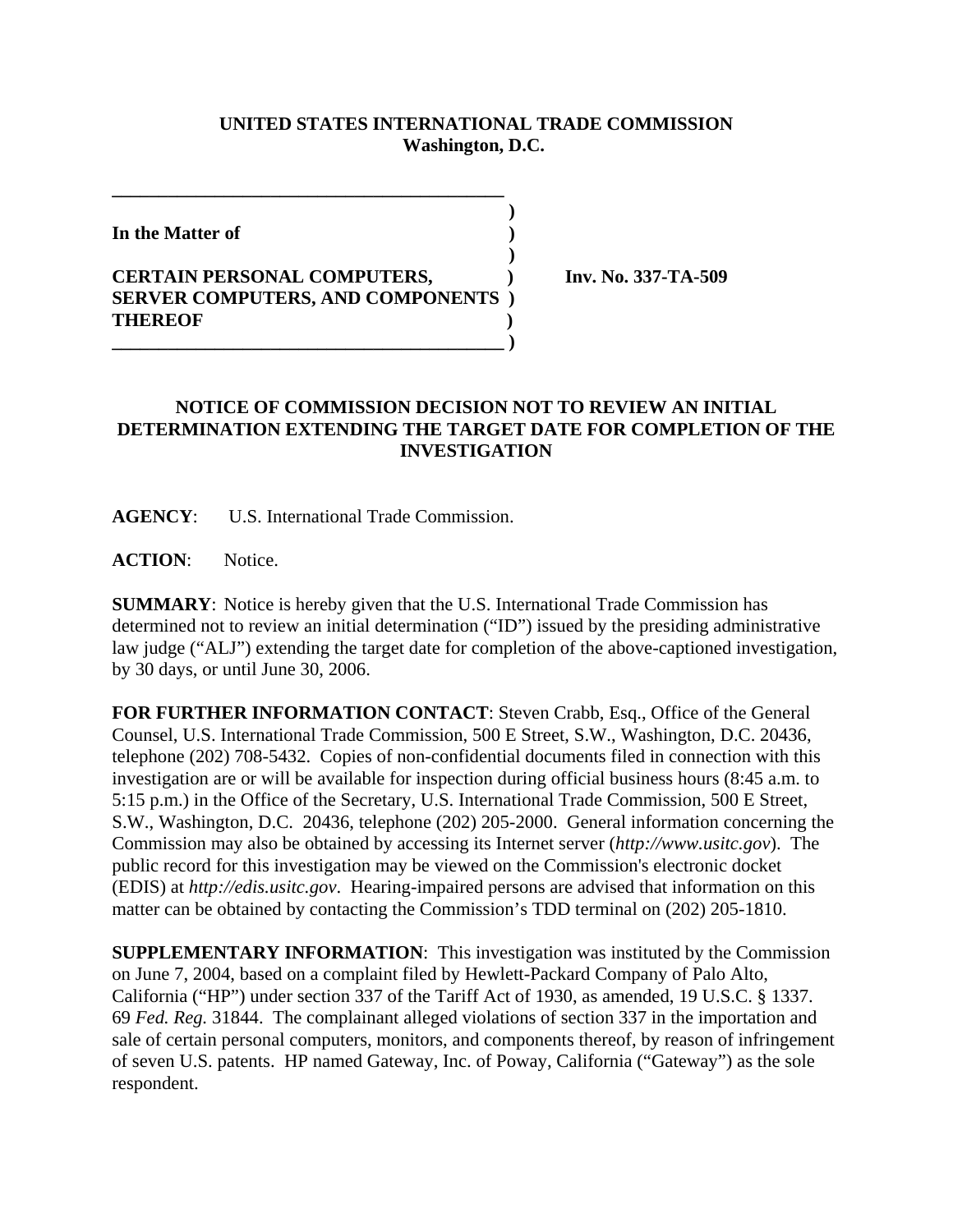## **UNITED STATES INTERNATIONAL TRADE COMMISSION Washington, D.C.**

 **)**

 **)**

**In the Matter of )**

## **CERTAIN PERSONAL COMPUTERS, ) Inv. No. 337-TA-509 SERVER COMPUTERS, AND COMPONENTS ) THEREOF ) \_\_\_\_\_\_\_\_\_\_\_\_\_\_\_\_\_\_\_\_\_\_\_\_\_\_\_\_\_\_\_\_\_\_\_\_\_\_\_\_\_\_ )**

**\_\_\_\_\_\_\_\_\_\_\_\_\_\_\_\_\_\_\_\_\_\_\_\_\_\_\_\_\_\_\_\_\_\_\_\_\_\_\_\_\_\_**

## **NOTICE OF COMMISSION DECISION NOT TO REVIEW AN INITIAL DETERMINATION EXTENDING THE TARGET DATE FOR COMPLETION OF THE INVESTIGATION**

**AGENCY**: U.S. International Trade Commission.

ACTION: Notice.

**SUMMARY**: Notice is hereby given that the U.S. International Trade Commission has determined not to review an initial determination ("ID") issued by the presiding administrative law judge ("ALJ") extending the target date for completion of the above-captioned investigation, by 30 days, or until June 30, 2006.

**FOR FURTHER INFORMATION CONTACT**: Steven Crabb, Esq., Office of the General Counsel, U.S. International Trade Commission, 500 E Street, S.W., Washington, D.C. 20436, telephone (202) 708-5432. Copies of non-confidential documents filed in connection with this investigation are or will be available for inspection during official business hours (8:45 a.m. to 5:15 p.m.) in the Office of the Secretary, U.S. International Trade Commission, 500 E Street, S.W., Washington, D.C. 20436, telephone (202) 205-2000. General information concerning the Commission may also be obtained by accessing its Internet server (*http://www.usitc.gov*). The public record for this investigation may be viewed on the Commission's electronic docket (EDIS) at *http://edis.usitc.gov*. Hearing-impaired persons are advised that information on this matter can be obtained by contacting the Commission's TDD terminal on (202) 205-1810.

**SUPPLEMENTARY INFORMATION**: This investigation was instituted by the Commission on June 7, 2004, based on a complaint filed by Hewlett-Packard Company of Palo Alto, California ("HP") under section 337 of the Tariff Act of 1930, as amended, 19 U.S.C. § 1337. 69 *Fed. Reg.* 31844. The complainant alleged violations of section 337 in the importation and sale of certain personal computers, monitors, and components thereof, by reason of infringement of seven U.S. patents. HP named Gateway, Inc. of Poway, California ("Gateway") as the sole respondent.